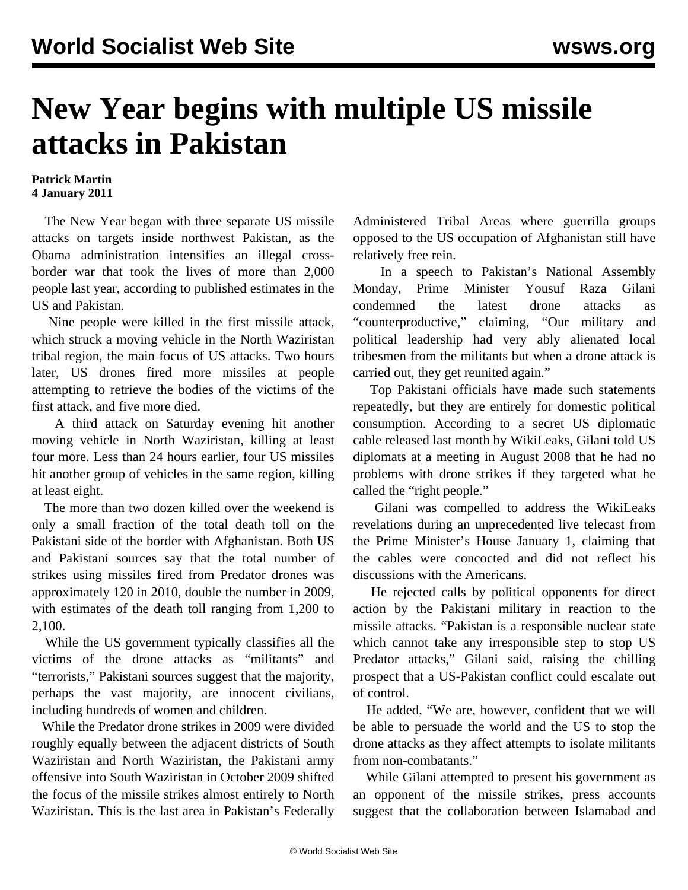## **New Year begins with multiple US missile attacks in Pakistan**

## **Patrick Martin 4 January 2011**

 The New Year began with three separate US missile attacks on targets inside northwest Pakistan, as the Obama administration intensifies an illegal crossborder war that took the lives of more than 2,000 people last year, according to published estimates in the US and Pakistan.

 Nine people were killed in the first missile attack, which struck a moving vehicle in the North Waziristan tribal region, the main focus of US attacks. Two hours later, US drones fired more missiles at people attempting to retrieve the bodies of the victims of the first attack, and five more died.

 A third attack on Saturday evening hit another moving vehicle in North Waziristan, killing at least four more. Less than 24 hours earlier, four US missiles hit another group of vehicles in the same region, killing at least eight.

 The more than two dozen killed over the weekend is only a small fraction of the total death toll on the Pakistani side of the border with Afghanistan. Both US and Pakistani sources say that the total number of strikes using missiles fired from Predator drones was approximately 120 in 2010, double the number in 2009, with estimates of the death toll ranging from 1,200 to 2,100.

 While the US government typically classifies all the victims of the drone attacks as "militants" and "terrorists," Pakistani sources suggest that the majority, perhaps the vast majority, are innocent civilians, including hundreds of women and children.

 While the Predator drone strikes in 2009 were divided roughly equally between the adjacent districts of South Waziristan and North Waziristan, the Pakistani army offensive into South Waziristan in October 2009 shifted the focus of the missile strikes almost entirely to North Waziristan. This is the last area in Pakistan's Federally

Administered Tribal Areas where guerrilla groups opposed to the US occupation of Afghanistan still have relatively free rein.

 In a speech to Pakistan's National Assembly Monday, Prime Minister Yousuf Raza Gilani condemned the latest drone attacks as "counterproductive," claiming, "Our military and political leadership had very ably alienated local tribesmen from the militants but when a drone attack is carried out, they get reunited again."

 Top Pakistani officials have made such statements repeatedly, but they are entirely for domestic political consumption. According to a secret US diplomatic cable released last month by WikiLeaks, Gilani told US diplomats at a meeting in August 2008 that he had no problems with drone strikes if they targeted what he called the "right people."

 Gilani was compelled to address the WikiLeaks revelations during an unprecedented live telecast from the Prime Minister's House January 1, claiming that the cables were concocted and did not reflect his discussions with the Americans.

 He rejected calls by political opponents for direct action by the Pakistani military in reaction to the missile attacks. "Pakistan is a responsible nuclear state which cannot take any irresponsible step to stop US Predator attacks," Gilani said, raising the chilling prospect that a US-Pakistan conflict could escalate out of control.

 He added, "We are, however, confident that we will be able to persuade the world and the US to stop the drone attacks as they affect attempts to isolate militants from non-combatants."

 While Gilani attempted to present his government as an opponent of the missile strikes, press accounts suggest that the collaboration between Islamabad and